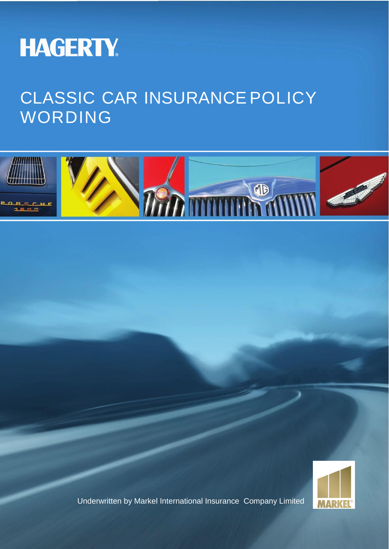

# CLASSIC CAR INSURANCE POLICY WORDING





Underwritten by Markel International Insurance Company Limited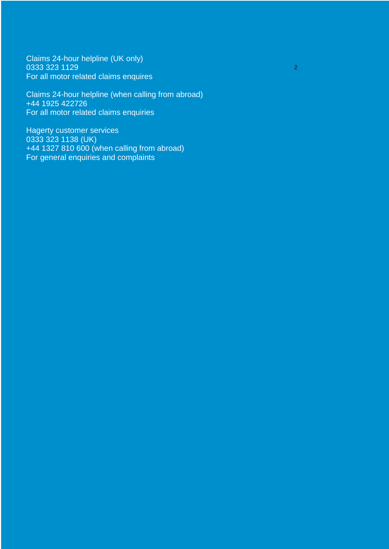Claims 24-hour helpline (UK only) 0333 323 1129 For all motor related claims enquires

Claims 24-hour helpline (when calling from abroad) +44 1925 422726 For all motor related claims enquiries

**2**

Hagerty customer services 0333 323 1138 (UK) +44 1327 810 600 (when calling from abroad) For general enquiries and complaints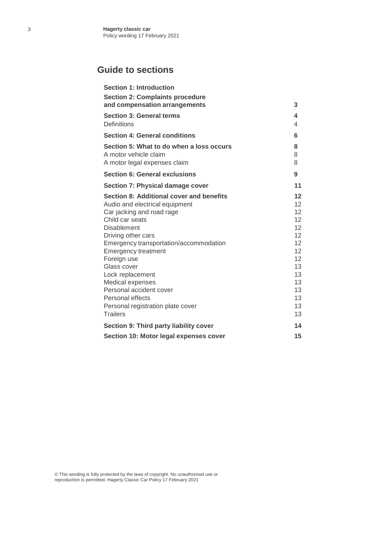# **Guide to sections**

| <b>Section 1: Introduction</b>                                                                                                                                                                                                                                                                                                                                                                                              |                                                                                                           |
|-----------------------------------------------------------------------------------------------------------------------------------------------------------------------------------------------------------------------------------------------------------------------------------------------------------------------------------------------------------------------------------------------------------------------------|-----------------------------------------------------------------------------------------------------------|
| <b>Section 2: Complaints procedure</b><br>and compensation arrangements                                                                                                                                                                                                                                                                                                                                                     | 3                                                                                                         |
| <b>Section 3: General terms</b><br><b>Definitions</b>                                                                                                                                                                                                                                                                                                                                                                       | 4<br>4                                                                                                    |
| <b>Section 4: General conditions</b>                                                                                                                                                                                                                                                                                                                                                                                        | 6                                                                                                         |
| Section 5: What to do when a loss occurs<br>A motor vehicle claim<br>A motor legal expenses claim                                                                                                                                                                                                                                                                                                                           | 8<br>8<br>8                                                                                               |
| Section 6: General exclusions                                                                                                                                                                                                                                                                                                                                                                                               | 9                                                                                                         |
| Section 7: Physical damage cover                                                                                                                                                                                                                                                                                                                                                                                            | 11                                                                                                        |
| Section 8: Additional cover and benefits<br>Audio and electrical equipment<br>Car jacking and road rage<br>Child car seats<br><b>Disablement</b><br>Driving other cars<br>Emergency transportation/accommodation<br><b>Emergency treatment</b><br>Foreign use<br>Glass cover<br>Lock replacement<br>Medical expenses<br>Personal accident cover<br>Personal effects<br>Personal registration plate cover<br><b>Trailers</b> | 12<br>12<br>12<br>12<br>12 <sup>2</sup><br>12<br>12<br>12<br>12<br>13<br>13<br>13<br>13<br>13<br>13<br>13 |
| Section 9: Third party liability cover                                                                                                                                                                                                                                                                                                                                                                                      | 14                                                                                                        |
| Section 10: Motor legal expenses cover                                                                                                                                                                                                                                                                                                                                                                                      | 15                                                                                                        |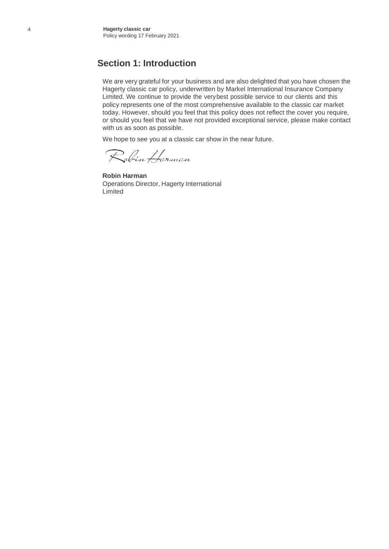#### **Section 1: Introduction**

We are very grateful for your business and are also delighted that you have chosen the Hagerty classic car policy, underwritten by Markel International Insurance Company Limited. We continue to provide the verybest possible service to our clients and this policy represents one of the most comprehensive available to the classic car market today. However, should you feel that this policy does not reflect the cover you require, or should you feel that we have not provided exceptional service, please make contact with us as soon as possible.

We hope to see you at a classic car show in the near future.

Robin Harman

**Robin Harman** Operations Director, Hagerty International Limited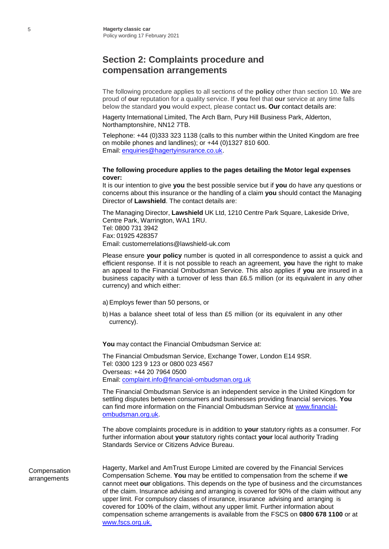# **Section 2: Complaints procedure and compensation arrangements**

The following procedure applies to all sections of the **policy** other than section 10. **We** are proud of **our** reputation for a quality service. If **you** feel that **our** service at any time falls below the standard **you** would expect, please contact **us. Our** contact details are:

Hagerty International Limited, The Arch Barn, Pury Hill Business Park, Alderton, Northamptonshire, NN12 7TB.

Telephone: +44 (0)333 323 1138 (calls to this number within the United Kingdom are free on mobile phones and landlines); or +44 (0)1327 810 600. Email: [enquiries@hagertyinsurance.co.uk.](mailto:enquiries@hagertyinsurance.co.uk)

#### **The following procedure applies to the pages detailing the Motor legal expenses cover:**

It is our intention to give **you** the best possible service but if **you** do have any questions or concerns about this insurance or the handling of a claim **you** should contact the Managing Director of **Lawshield**. The contact details are:

The Managing Director, **Lawshield** UK Ltd, 1210 Centre Park Square, Lakeside Drive, Centre Park, Warrington, WA1 1RU. Tel: 0800 731 3942 Fax: 01925 428357 [Email:](mailto:customerrelations@lawshield-uk.com) [customerrelations@lawshield-uk.com](mailto:customerrelations@lawshield-uk.com)

Please ensure **your policy** number is quoted in all correspondence to assist a quick and efficient response. If it is not possible to reach an agreement, **you** have the right to make an appeal to the Financial Ombudsman Service. This also applies if **you** are insured in a business capacity with a turnover of less than £6.5 million (or its equivalent in any other currency) and which either:

- a)Employs fewer than 50 persons, or
- b) Has a balance sheet total of less than £5 million (or its equivalent in any other currency).

**You** may contact the Financial Ombudsman Service at:

The Financial Ombudsman Service, Exchange Tower, London E14 9SR. Tel: 0300 123 9 123 or 0800 023 4567 Overseas: +44 20 7964 0500 Email: [complaint.info@financial-ombudsman.org.uk](mailto:complaint.info@financial-ombudsman.org.uk)

The Financial Ombudsman Service is an independent service in the United Kingdom for settling disputes between consumers and businesses providing financial services. **You** can find more information on the Financial Ombudsman Service at [www.financial](http://www.financial-ombudsman.org.uk/)[ombudsman.org.uk.](http://www.financial-ombudsman.org.uk/)

The above complaints procedure is in addition to **your** statutory rights as a consumer. For further information about **your** statutory rights contact **your** local authority Trading Standards Service or Citizens Advice Bureau.

Compensation arrangements Hagerty, Markel and AmTrust Europe Limited are covered by the Financial Services Compensation Scheme. **You** may be entitled to compensation from the scheme if **we** cannot meet **our** obligations. This depends on the type of business and the circumstances of the claim. Insurance advising and arranging is covered for 90% of the claim without any upper limit. For compulsory classes of insurance, insurance advising and arranging is covered for 100% of the claim, without any upper limit. Further information about compensation scheme arrangements is available from the FSCS on **0800 678 1100** or at [www.fscs.org.uk.](http://www.fscs.org.uk./)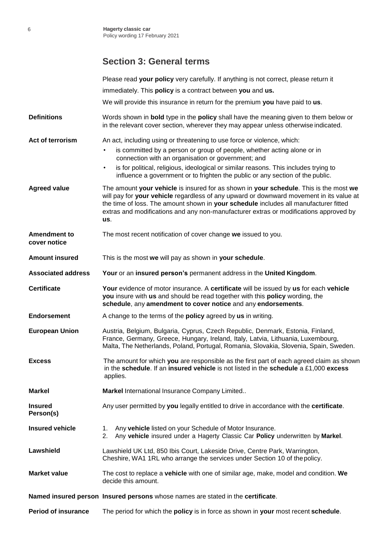# **Section 3: General terms**

|                                     | Please read your policy very carefully. If anything is not correct, please return it                                                                                                                                                                                                                                                                                     |  |  |
|-------------------------------------|--------------------------------------------------------------------------------------------------------------------------------------------------------------------------------------------------------------------------------------------------------------------------------------------------------------------------------------------------------------------------|--|--|
|                                     | immediately. This <b>policy</b> is a contract between you and us.                                                                                                                                                                                                                                                                                                        |  |  |
|                                     | We will provide this insurance in return for the premium you have paid to us.                                                                                                                                                                                                                                                                                            |  |  |
| <b>Definitions</b>                  | Words shown in <b>bold</b> type in the <b>policy</b> shall have the meaning given to them below or<br>in the relevant cover section, wherever they may appear unless otherwise indicated.                                                                                                                                                                                |  |  |
| Act of terrorism                    | An act, including using or threatening to use force or violence, which:                                                                                                                                                                                                                                                                                                  |  |  |
|                                     | is committed by a person or group of people, whether acting alone or in<br>connection with an organisation or government; and                                                                                                                                                                                                                                            |  |  |
|                                     | is for political, religious, ideological or similar reasons. This includes trying to<br>$\bullet$<br>influence a government or to frighten the public or any section of the public.                                                                                                                                                                                      |  |  |
| <b>Agreed value</b>                 | The amount your vehicle is insured for as shown in your schedule. This is the most we<br>will pay for your vehicle regardless of any upward or downward movement in its value at<br>the time of loss. The amount shown in your schedule includes all manufacturer fitted<br>extras and modifications and any non-manufacturer extras or modifications approved by<br>us. |  |  |
| <b>Amendment to</b><br>cover notice | The most recent notification of cover change we issued to you.                                                                                                                                                                                                                                                                                                           |  |  |
| <b>Amount insured</b>               | This is the most we will pay as shown in your schedule.                                                                                                                                                                                                                                                                                                                  |  |  |
| <b>Associated address</b>           | Your or an insured person's permanent address in the United Kingdom.                                                                                                                                                                                                                                                                                                     |  |  |
| <b>Certificate</b>                  | Your evidence of motor insurance. A certificate will be issued by us for each vehicle<br>you insure with us and should be read together with this policy wording, the<br>schedule, any amendment to cover notice and any endorsements.                                                                                                                                   |  |  |
| <b>Endorsement</b>                  | A change to the terms of the <b>policy</b> agreed by us in writing.                                                                                                                                                                                                                                                                                                      |  |  |
| <b>European Union</b>               | Austria, Belgium, Bulgaria, Cyprus, Czech Republic, Denmark, Estonia, Finland,<br>France, Germany, Greece, Hungary, Ireland, Italy, Latvia, Lithuania, Luxembourg,<br>Malta, The Netherlands, Poland, Portugal, Romania, Slovakia, Slovenia, Spain, Sweden.                                                                                                              |  |  |
| <b>Excess</b>                       | The amount for which you are responsible as the first part of each agreed claim as shown<br>in the schedule. If an insured vehicle is not listed in the schedule a £1,000 excess<br>applies.                                                                                                                                                                             |  |  |
| <b>Markel</b>                       | Markel International Insurance Company Limited                                                                                                                                                                                                                                                                                                                           |  |  |
| <b>Insured</b><br>Person(s)         | Any user permitted by you legally entitled to drive in accordance with the certificate.                                                                                                                                                                                                                                                                                  |  |  |
| <b>Insured vehicle</b>              | Any vehicle listed on your Schedule of Motor Insurance.<br>1.<br>Any vehicle insured under a Hagerty Classic Car Policy underwritten by Markel.<br>2.                                                                                                                                                                                                                    |  |  |
| Lawshield                           | Lawshield UK Ltd, 850 Ibis Court, Lakeside Drive, Centre Park, Warrington,<br>Cheshire, WA1 1RL who arrange the services under Section 10 of the policy.                                                                                                                                                                                                                 |  |  |
| <b>Market value</b>                 | The cost to replace a vehicle with one of similar age, make, model and condition. We<br>decide this amount.                                                                                                                                                                                                                                                              |  |  |
|                                     | Named insured person Insured persons whose names are stated in the certificate.                                                                                                                                                                                                                                                                                          |  |  |
| <b>Period of insurance</b>          | The period for which the <b>policy</b> is in force as shown in your most recent schedule.                                                                                                                                                                                                                                                                                |  |  |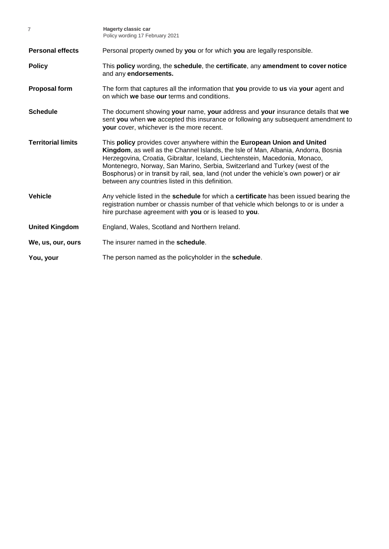| $\overline{7}$            | <b>Hagerty classic car</b><br>Policy wording 17 February 2021                                                                                                                                                                                                                                                                                                                                                                                                              |  |  |
|---------------------------|----------------------------------------------------------------------------------------------------------------------------------------------------------------------------------------------------------------------------------------------------------------------------------------------------------------------------------------------------------------------------------------------------------------------------------------------------------------------------|--|--|
| <b>Personal effects</b>   | Personal property owned by you or for which you are legally responsible.                                                                                                                                                                                                                                                                                                                                                                                                   |  |  |
| <b>Policy</b>             | This policy wording, the schedule, the certificate, any amendment to cover notice<br>and any endorsements.                                                                                                                                                                                                                                                                                                                                                                 |  |  |
| <b>Proposal form</b>      | The form that captures all the information that you provide to us via your agent and<br>on which we base our terms and conditions.                                                                                                                                                                                                                                                                                                                                         |  |  |
| <b>Schedule</b>           | The document showing your name, your address and your insurance details that we<br>sent you when we accepted this insurance or following any subsequent amendment to<br>your cover, whichever is the more recent.                                                                                                                                                                                                                                                          |  |  |
| <b>Territorial limits</b> | This policy provides cover anywhere within the European Union and United<br>Kingdom, as well as the Channel Islands, the Isle of Man, Albania, Andorra, Bosnia<br>Herzegovina, Croatia, Gibraltar, Iceland, Liechtenstein, Macedonia, Monaco,<br>Montenegro, Norway, San Marino, Serbia, Switzerland and Turkey (west of the<br>Bosphorus) or in transit by rail, sea, land (not under the vehicle's own power) or air<br>between any countries listed in this definition. |  |  |
| <b>Vehicle</b>            | Any vehicle listed in the schedule for which a certificate has been issued bearing the<br>registration number or chassis number of that vehicle which belongs to or is under a<br>hire purchase agreement with you or is leased to you.                                                                                                                                                                                                                                    |  |  |
| <b>United Kingdom</b>     | England, Wales, Scotland and Northern Ireland.                                                                                                                                                                                                                                                                                                                                                                                                                             |  |  |
| We, us, our, ours         | The insurer named in the schedule.                                                                                                                                                                                                                                                                                                                                                                                                                                         |  |  |
| You, your                 | The person named as the policyholder in the <b>schedule</b> .                                                                                                                                                                                                                                                                                                                                                                                                              |  |  |
|                           |                                                                                                                                                                                                                                                                                                                                                                                                                                                                            |  |  |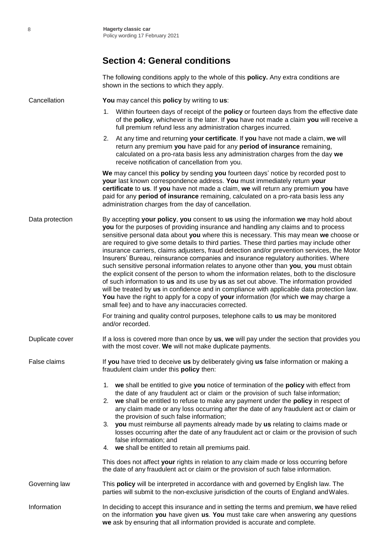### **Section 4: General conditions**

The following conditions apply to the whole of this **policy.** Any extra conditions are shown in the sections to which they apply.

Cancellation **You** may cancel this **policy** by writing to **us**:

- 1. Within fourteen days of receipt of the **policy** or fourteen days from the effective date of the **policy**, whichever is the later. If **you** have not made a claim **you** will receive a full premium refund less any administration charges incurred.
- 2. At any time and returning **your certificate**. If **you** have not made a claim, **we** will return any premium **you** have paid for any **period of insurance** remaining, calculated on a pro-rata basis less any administration charges from the day **we** receive notification of cancellation from you.

**We** may cancel this **policy** by sending **you** fourteen days' notice by recorded post to **your** last known correspondence address. **You** must immediately return **your certificate** to **us**. If **you** have not made a claim, **we** will return any premium **you** have paid for any **period of insurance** remaining, calculated on a pro-rata basis less any administration charges from the day of cancellation.

Data protection By accepting **your policy**, **you** consent to **us** using the information **we** may hold about **you** for the purposes of providing insurance and handling any claims and to process sensitive personal data about **you** where this is necessary. This may mean **we** choose or are required to give some details to third parties. These third parties may include other insurance carriers, claims adjusters, fraud detection and/or prevention services, the Motor Insurers' Bureau, reinsurance companies and insurance regulatory authorities. Where such sensitive personal information relates to anyone other than **you**, **you** must obtain the explicit consent of the person to whom the information relates, both to the disclosure of such information to **us** and its use by **us** as set out above. The information provided will be treated by **us** in confidence and in compliance with applicable data protection law. **You** have the right to apply for a copy of **your** information (for which **we** may charge a small fee) and to have any inaccuracies corrected.

> For training and quality control purposes, telephone calls to **us** may be monitored and/or recorded.

Duplicate cover If a loss is covered more than once by us, we will pay under the section that provides you with the most cover. **We** will not make duplicate payments.

False claims If **you** have tried to deceive **us** by deliberately giving **us** false information or making a fraudulent claim under this **policy** then:

- 1. **we** shall be entitled to give **you** notice of termination of the **policy** with effect from the date of any fraudulent act or claim or the provision of such false information;
- 2. **we** shall be entitled to refuse to make any payment under the **policy** in respect of any claim made or any loss occurring after the date of any fraudulent act or claim or the provision of such false information;
- 3. **you** must reimburse all payments already made by **us** relating to claims made or losses occurring after the date of any fraudulent act or claim or the provision of such false information; and
- 4. **we** shall be entitled to retain all premiums paid.

This does not affect **your** rights in relation to any claim made or loss occurring before the date of any fraudulent act or claim or the provision of such false information.

Governing law This **policy** will be interpreted in accordance with and governed by English law. The parties will submit to the non-exclusive jurisdiction of the courts of England andWales.

Information In deciding to accept this insurance and in setting the terms and premium, **we** have relied on the information **you** have given **us**. **You** must take care when answering any questions **we** ask by ensuring that all information provided is accurate and complete.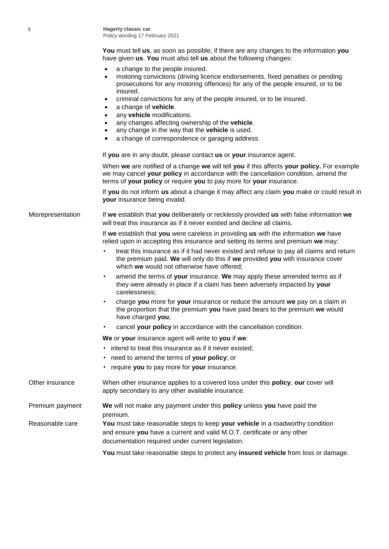9 **Hagerty classic car** Policy wording 17 February 2021

> **You** must tell **us**, as soon as possible, if there are any changes to the information **you** have given **us**. **You** must also tell **us** about the following changes:

- a change to the people insured.
- motoring convictions (driving licence endorsements, fixed penalties or pending prosecutions for any motoring offences) for any of the people insured, or to be insured.
- criminal convictions for any of the people insured, or to be insured.
- a change of **vehicle**.
- any **vehicle** modifications.
- any changes affecting ownership of the **vehicle**.
- any change in the way that the **vehicle** is used.
- a change of correspondence or garaging address.

If **you** are in any doubt, please contact **us** or **your** insurance agent.

When **we** are notified of a change **we** will tell **you** if this affects **your policy.** For example we may cancel **your policy** in accordance with the cancellation condition, amend the terms of **your policy** or require **you** to pay more for **your** insurance.

If **you** do not inform **us** about a change it may affect any claim **you** make or could result in **your** insurance being invalid.

Misrepresentation If **we** establish that **you** deliberately or recklessly provided **us** with false information **we** will treat this insurance as if it never existed and decline all claims.

> If **we** establish that **you** were careless in providing **us** with the information **we** have relied upon in accepting this insurance and setting its terms and premium **we** may:

- treat this insurance as if it had never existed and refuse to pay all claims and return the premium paid. **We** will only do this if **we** provided **you** with insurance cover which **we** would not otherwise have offered;
- amend the terms of **your** insurance. **We** may apply these amended terms as if they were already in place if a claim has been adversely impacted by **your** carelessness;
- charge **you** more for **your** insurance or reduce the amount **we** pay on a claim in the proportion that the premium **you** have paid bears to the premium **we** would have charged **you**;
- cancel **your policy** in accordance with the cancellation condition.

**We** or **your** insurance agent will write to **you** if **we**:

- intend to treat this insurance as if it never existed;
- need to amend the terms of **your policy**; or
- require **you** to pay more for **your** insurance.

Other insurance When other insurance applies to a covered loss under this **policy**, **our** cover will apply secondary to any other available insurance. Premium payment **We** will not make any payment under this **policy** unless **you** have paid the premium. Reasonable care **You** must take reasonable steps to keep **your vehicle** in a roadworthy condition and ensure **you** have a current and valid M.O.T. certificate or any other documentation required under current legislation. **You** must take reasonable steps to protect any **insured vehicle** from loss or damage.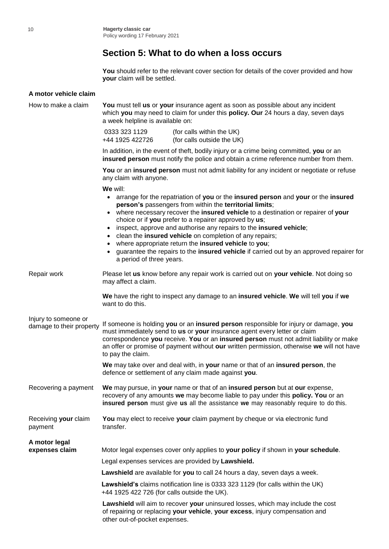# **Section 5: What to do when a loss occurs**

You should refer to the relevant cover section for details of the cover provided and how **your** claim will be settled.

| A motor vehicle claim                            |                                                                                                                                                                                                                                                                                                                                                                                                                                                                                                                                                                                                                                                              |  |  |  |
|--------------------------------------------------|--------------------------------------------------------------------------------------------------------------------------------------------------------------------------------------------------------------------------------------------------------------------------------------------------------------------------------------------------------------------------------------------------------------------------------------------------------------------------------------------------------------------------------------------------------------------------------------------------------------------------------------------------------------|--|--|--|
| How to make a claim                              | You must tell us or your insurance agent as soon as possible about any incident<br>which you may need to claim for under this policy. Our 24 hours a day, seven days<br>a week helpline is available on:                                                                                                                                                                                                                                                                                                                                                                                                                                                     |  |  |  |
|                                                  | 0333 323 1129<br>(for calls within the UK)<br>(for calls outside the UK)<br>+44 1925 422726                                                                                                                                                                                                                                                                                                                                                                                                                                                                                                                                                                  |  |  |  |
|                                                  | In addition, in the event of theft, bodily injury or a crime being committed, you or an<br>insured person must notify the police and obtain a crime reference number from them.                                                                                                                                                                                                                                                                                                                                                                                                                                                                              |  |  |  |
|                                                  | You or an insured person must not admit liability for any incident or negotiate or refuse<br>any claim with anyone.                                                                                                                                                                                                                                                                                                                                                                                                                                                                                                                                          |  |  |  |
|                                                  | We will:<br>arrange for the repatriation of you or the insured person and your or the insured<br>person's passengers from within the territorial limits;<br>where necessary recover the insured vehicle to a destination or repairer of your<br>$\bullet$<br>choice or if you prefer to a repairer approved by us;<br>inspect, approve and authorise any repairs to the insured vehicle;<br>$\bullet$<br>clean the insured vehicle on completion of any repairs;<br>$\bullet$<br>where appropriate return the insured vehicle to you;<br>guarantee the repairs to the insured vehicle if carried out by an approved repairer for<br>a period of three years. |  |  |  |
| Repair work                                      | Please let us know before any repair work is carried out on your vehicle. Not doing so<br>may affect a claim.                                                                                                                                                                                                                                                                                                                                                                                                                                                                                                                                                |  |  |  |
|                                                  | We have the right to inspect any damage to an insured vehicle. We will tell you if we<br>want to do this.                                                                                                                                                                                                                                                                                                                                                                                                                                                                                                                                                    |  |  |  |
| Injury to someone or<br>damage to their property | If someone is holding you or an insured person responsible for injury or damage, you<br>must immediately send to us or your insurance agent every letter or claim<br>correspondence you receive. You or an insured person must not admit liability or make<br>an offer or promise of payment without our written permission, otherwise we will not have<br>to pay the claim.                                                                                                                                                                                                                                                                                 |  |  |  |
|                                                  | We may take over and deal with, in your name or that of an insured person, the<br>defence or settlement of any claim made against you.                                                                                                                                                                                                                                                                                                                                                                                                                                                                                                                       |  |  |  |
| Recovering a payment                             | We may pursue, in your name or that of an insured person but at our expense,<br>recovery of any amounts we may become liable to pay under this policy. You or an<br>insured person must give us all the assistance we may reasonably require to do this.                                                                                                                                                                                                                                                                                                                                                                                                     |  |  |  |
| Receiving your claim<br>payment                  | You may elect to receive your claim payment by cheque or via electronic fund<br>transfer.                                                                                                                                                                                                                                                                                                                                                                                                                                                                                                                                                                    |  |  |  |
| A motor legal<br>expenses claim                  | Motor legal expenses cover only applies to your policy if shown in your schedule.                                                                                                                                                                                                                                                                                                                                                                                                                                                                                                                                                                            |  |  |  |
|                                                  | Legal expenses services are provided by Lawshield.                                                                                                                                                                                                                                                                                                                                                                                                                                                                                                                                                                                                           |  |  |  |
|                                                  | Lawshield are available for you to call 24 hours a day, seven days a week.                                                                                                                                                                                                                                                                                                                                                                                                                                                                                                                                                                                   |  |  |  |
|                                                  | Lawshield's claims notification line is 0333 323 1129 (for calls within the UK)<br>+44 1925 422 726 (for calls outside the UK).                                                                                                                                                                                                                                                                                                                                                                                                                                                                                                                              |  |  |  |
|                                                  | Lawshield will aim to recover your uninsured losses, which may include the cost<br>of repairing or replacing your vehicle, your excess, injury compensation and<br>other out-of-pocket expenses.                                                                                                                                                                                                                                                                                                                                                                                                                                                             |  |  |  |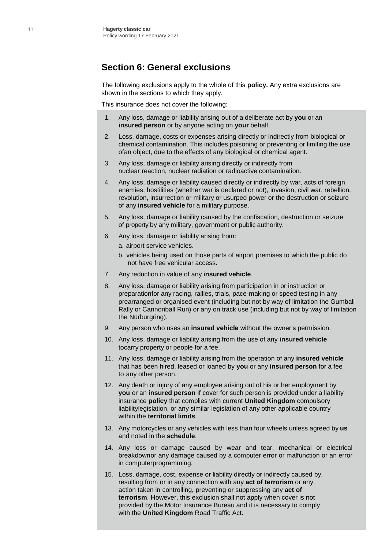#### **Section 6: General exclusions**

The following exclusions apply to the whole of this **policy.** Any extra exclusions are shown in the sections to which they apply.

This insurance does not cover the following:

- 1. Any loss, damage or liability arising out of a deliberate act by **you** or an **insured person** or by anyone acting on **your** behalf.
- 2. Loss, damage, costs or expenses arising directly or indirectly from biological or chemical contamination. This includes poisoning or preventing or limiting the use ofan object, due to the effects of any biological or chemical agent.
- 3. Any loss, damage or liability arising directly or indirectly from nuclear reaction, nuclear radiation or radioactive contamination.
- 4. Any loss, damage or liability caused directly or indirectly by war, acts of foreign enemies, hostilities (whether war is declared or not), invasion, civil war, rebellion, revolution, insurrection or military or usurped power or the destruction or seizure of any **insured vehicle** for a military purpose.
- 5. Any loss, damage or liability caused by the confiscation, destruction or seizure of property by any military, government or public authority.
- 6. Any loss, damage or liability arising from:
	- a. airport service vehicles.
	- b. vehicles being used on those parts of airport premises to which the public do not have free vehicular access.
- 7. Any reduction in value of any **insured vehicle**.
- 8. Any loss, damage or liability arising from participation in or instruction or preparationfor any racing, rallies, trials, pace-making or speed testing in any prearranged or organised event (including but not by way of limitation the Gumball Rally or Cannonball Run) or any on track use (including but not by way of limitation the Nürburgring).
- 9. Any person who uses an **insured vehicle** without the owner's permission.
- 10. Any loss, damage or liability arising from the use of any **insured vehicle**  tocarry property or people for a fee.
- 11. Any loss, damage or liability arising from the operation of any **insured vehicle** that has been hired, leased or loaned by **you** or any **insured person** for a fee to any other person.
- 12. Any death or injury of any employee arising out of his or her employment by **you** or an **insured person** if cover for such person is provided under a liability insurance **policy** that complies with current **United Kingdom** compulsory liabilitylegislation, or any similar legislation of any other applicable country within the **territorial limits**.
- 13. Any motorcycles or any vehicles with less than four wheels unless agreed by **us** and noted in the **schedule**.
- 14. Any loss or damage caused by wear and tear, mechanical or electrical breakdownor any damage caused by a computer error or malfunction or an error in computerprogramming.
- 15. Loss, damage, cost, expense or liability directly or indirectly caused by, resulting from or in any connection with any **act of terrorism** or any action taken in controlling**,** preventing or suppressing any **act of terrorism**. However, this exclusion shall not apply when cover is not provided by the Motor Insurance Bureau and it is necessary to comply with the **United Kingdom** Road Traffic Act.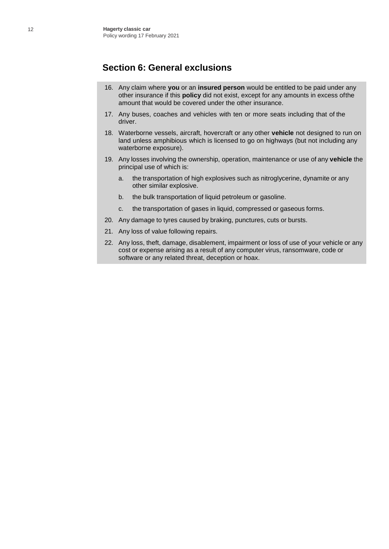### **Section 6: General exclusions**

- 16. Any claim where **you** or an **insured person** would be entitled to be paid under any other insurance if this **policy** did not exist, except for any amounts in excess of the amount that would be covered under the other insurance.
- 17. Any buses, coaches and vehicles with ten or more seats including that of the driver.
- 18. Waterborne vessels, aircraft, hovercraft or any other **vehicle** not designed to run on land unless amphibious which is licensed to go on highways (but not including any waterborne exposure).
- 19. Any losses involving the ownership, operation, maintenance or use of any **vehicle** the principal use of which is:
	- a. the transportation of high explosives such as nitroglycerine, dynamite or any other similar explosive.
	- b. the bulk transportation of liquid petroleum or gasoline.
	- c. the transportation of gases in liquid, compressed or gaseous forms.
- 20. Any damage to tyres caused by braking, punctures, cuts or bursts.
- 21. Any loss of value following repairs.
- 22. Any loss, theft, damage, disablement, impairment or loss of use of your vehicle or any cost or expense arising as a result of any computer virus, ransomware, code or software or any related threat, deception or hoax.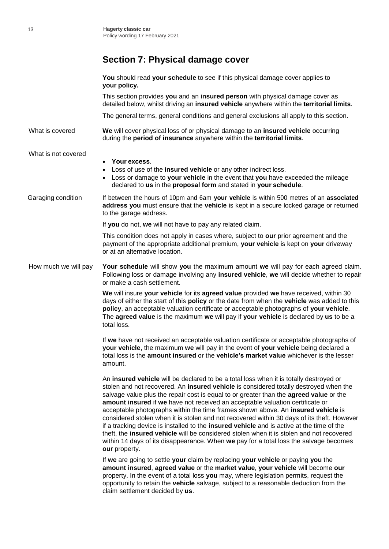# **Section 7: Physical damage cover**

|                      | You should read your schedule to see if this physical damage cover applies to<br>your policy.                                                                                                                                                                                                                                                                                                                                                                                                                                                                                                                                                                                                                                                                                                                                                   |
|----------------------|-------------------------------------------------------------------------------------------------------------------------------------------------------------------------------------------------------------------------------------------------------------------------------------------------------------------------------------------------------------------------------------------------------------------------------------------------------------------------------------------------------------------------------------------------------------------------------------------------------------------------------------------------------------------------------------------------------------------------------------------------------------------------------------------------------------------------------------------------|
|                      | This section provides you and an insured person with physical damage cover as<br>detailed below, whilst driving an insured vehicle anywhere within the territorial limits.                                                                                                                                                                                                                                                                                                                                                                                                                                                                                                                                                                                                                                                                      |
|                      | The general terms, general conditions and general exclusions all apply to this section.                                                                                                                                                                                                                                                                                                                                                                                                                                                                                                                                                                                                                                                                                                                                                         |
| What is covered      | We will cover physical loss of or physical damage to an insured vehicle occurring<br>during the period of insurance anywhere within the territorial limits.                                                                                                                                                                                                                                                                                                                                                                                                                                                                                                                                                                                                                                                                                     |
| What is not covered  | Your excess.<br>Loss of use of the insured vehicle or any other indirect loss.<br>Loss or damage to your vehicle in the event that you have exceeded the mileage<br>declared to us in the proposal form and stated in your schedule.                                                                                                                                                                                                                                                                                                                                                                                                                                                                                                                                                                                                            |
| Garaging condition   | If between the hours of 10pm and 6am your vehicle is within 500 metres of an associated<br>address you must ensure that the vehicle is kept in a secure locked garage or returned<br>to the garage address.                                                                                                                                                                                                                                                                                                                                                                                                                                                                                                                                                                                                                                     |
|                      | If you do not, we will not have to pay any related claim.                                                                                                                                                                                                                                                                                                                                                                                                                                                                                                                                                                                                                                                                                                                                                                                       |
|                      | This condition does not apply in cases where, subject to our prior agreement and the<br>payment of the appropriate additional premium, your vehicle is kept on your driveway<br>or at an alternative location.                                                                                                                                                                                                                                                                                                                                                                                                                                                                                                                                                                                                                                  |
| How much we will pay | Your schedule will show you the maximum amount we will pay for each agreed claim.<br>Following loss or damage involving any insured vehicle, we will decide whether to repair<br>or make a cash settlement.                                                                                                                                                                                                                                                                                                                                                                                                                                                                                                                                                                                                                                     |
|                      | We will insure your vehicle for its agreed value provided we have received, within 30<br>days of either the start of this policy or the date from when the vehicle was added to this<br>policy, an acceptable valuation certificate or acceptable photographs of your vehicle.<br>The agreed value is the maximum we will pay if your vehicle is declared by us to be a<br>total loss.                                                                                                                                                                                                                                                                                                                                                                                                                                                          |
|                      | If we have not received an acceptable valuation certificate or acceptable photographs of<br>your vehicle, the maximum we will pay in the event of your vehicle being declared a<br>total loss is the amount insured or the vehicle's market value whichever is the lesser<br>amount.                                                                                                                                                                                                                                                                                                                                                                                                                                                                                                                                                            |
|                      | An insured vehicle will be declared to be a total loss when it is totally destroyed or<br>stolen and not recovered. An insured vehicle is considered totally destroyed when the<br>salvage value plus the repair cost is equal to or greater than the agreed value or the<br>amount insured if we have not received an acceptable valuation certificate or<br>acceptable photographs within the time frames shown above. An insured vehicle is<br>considered stolen when it is stolen and not recovered within 30 days of its theft. However<br>if a tracking device is installed to the insured vehicle and is active at the time of the<br>theft, the insured vehicle will be considered stolen when it is stolen and not recovered<br>within 14 days of its disappearance. When we pay for a total loss the salvage becomes<br>our property. |
|                      | If we are going to settle your claim by replacing your vehicle or paying you the<br>amount insured, agreed value or the market value, your vehicle will become our<br>property. In the event of a total loss you may, where legislation permits, request the<br>opportunity to retain the vehicle salvage, subject to a reasonable deduction from the<br>claim settlement decided by us.                                                                                                                                                                                                                                                                                                                                                                                                                                                        |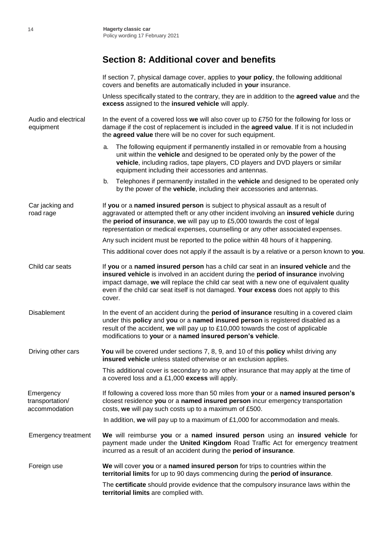### **Section 8: Additional cover and benefits**

If section 7, physical damage cover, applies to **your policy**, the following additional covers and benefits are automatically included in **your** insurance.

Unless specifically stated to the contrary, they are in addition to the **agreed value** and the **excess** assigned to the **insured vehicle** will apply.

Audio and electrical In the event of a covered loss **we** will also cover up to £750 for the following for loss or equipment damage if the cost of replacement is included in the **agreed value**. If it is not included in the **agreed value** there will be no cover for such equipment.

- a. The following equipment if permanently installed in or removable from a housing unit within the **vehicle** and designed to be operated only by the power of the **vehicle**, including radios, tape players, CD players and DVD players or similar equipment including their accessories and antennas.
- b. Telephones if permanently installed in the **vehicle** and designed to be operated only by the power of the **vehicle**, including their accessories and antennas.

Car jacking and If **you** or a **named insured person** is subject to physical assault as a result of road rage aggravated or attempted theft or any other incident involving an **insured vehicle** during the **period of insurance**, **we** will pay up to £5,000 towards the cost of legal representation or medical expenses, counselling or any other associated expenses.

Any such incident must be reported to the police within 48 hours of it happening.

This additional cover does not apply if the assault is by a relative or a person known to **you**.

- Child car seats If **you** or a **named insured person** has a child car seat in an **insured vehicle** and the **insured vehicle** is involved in an accident during the **period of insurance** involving impact damage, **we** will replace the child car seat with a new one of equivalent quality even if the child car seat itself is not damaged. **Your excess** does not apply to this cover.
- Disablement In the event of an accident during the **period of insurance** resulting in a covered claim under this **policy** and **you** or a **named insured person** is registered disabled as a result of the accident, **we** will pay up to £10,000 towards the cost of applicable modifications to **your** or a **named insured person's vehicle**.
- Driving other cars **You** will be covered under sections 7, 8, 9, and 10 of this **policy** whilst driving any **insured vehicle** unless stated otherwise or an exclusion applies.

This additional cover is secondary to any other insurance that may apply at the time of a covered loss and a £1,000 **excess** will apply.

Emergency If following a covered loss more than 50 miles from **your** or a **named insured person's** transportation/ closest residence **you** or a **named insured person** incur emergency transportation accommodation costs, **we** will pay such costs up to a maximum of £500.

In addition, **we** will pay up to a maximum of £1,000 for accommodation and meals.

Emergency treatment **We** will reimburse **you** or a **named insured person** using an **insured vehicle** for payment made under the **United Kingdom** Road Traffic Act for emergency treatment incurred as a result of an accident during the **period of insurance**.

Foreign use **We** will cover **you** or a **named insured person** for trips to countries within the **territorial limits** for up to 90 days commencing during the **period of insurance**.

> The **certificate** should provide evidence that the compulsory insurance laws within the **territorial limits** are complied with.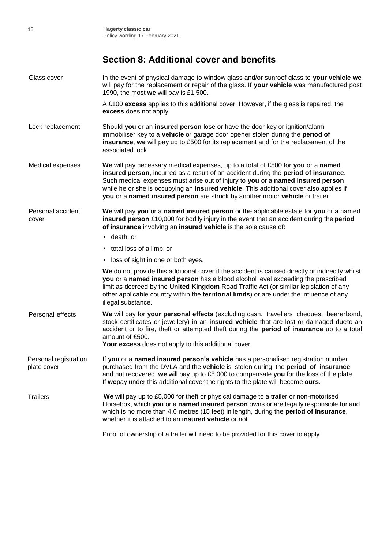# **Section 8: Additional cover and benefits**

| Glass cover                          | In the event of physical damage to window glass and/or sunroof glass to your vehicle we<br>will pay for the replacement or repair of the glass. If your vehicle was manufactured post<br>1990, the most we will pay is £1,500.                                                                                                                                                                                                        |  |  |
|--------------------------------------|---------------------------------------------------------------------------------------------------------------------------------------------------------------------------------------------------------------------------------------------------------------------------------------------------------------------------------------------------------------------------------------------------------------------------------------|--|--|
|                                      | A £100 excess applies to this additional cover. However, if the glass is repaired, the<br>excess does not apply.                                                                                                                                                                                                                                                                                                                      |  |  |
| Lock replacement                     | Should you or an insured person lose or have the door key or ignition/alarm<br>immobiliser key to a vehicle or garage door opener stolen during the period of<br>insurance, we will pay up to £500 for its replacement and for the replacement of the<br>associated lock.                                                                                                                                                             |  |  |
| Medical expenses                     | We will pay necessary medical expenses, up to a total of £500 for you or a named<br>insured person, incurred as a result of an accident during the period of insurance.<br>Such medical expenses must arise out of injury to you or a named insured person<br>while he or she is occupying an insured vehicle. This additional cover also applies if<br>you or a named insured person are struck by another motor vehicle or trailer. |  |  |
| Personal accident<br>cover           | We will pay you or a named insured person or the applicable estate for you or a named<br>insured person £10,000 for bodily injury in the event that an accident during the period<br>of insurance involving an insured vehicle is the sole cause of:<br>• death, or                                                                                                                                                                   |  |  |
|                                      |                                                                                                                                                                                                                                                                                                                                                                                                                                       |  |  |
|                                      | • total loss of a limb, or                                                                                                                                                                                                                                                                                                                                                                                                            |  |  |
|                                      | • loss of sight in one or both eyes.                                                                                                                                                                                                                                                                                                                                                                                                  |  |  |
|                                      | We do not provide this additional cover if the accident is caused directly or indirectly whilst<br>you or a named insured person has a blood alcohol level exceeding the prescribed<br>limit as decreed by the United Kingdom Road Traffic Act (or similar legislation of any<br>other applicable country within the territorial limits) or are under the influence of any<br>illegal substance.                                      |  |  |
| Personal effects                     | We will pay for your personal effects (excluding cash, travellers cheques, bearerbond,<br>stock certificates or jewellery) in an insured vehicle that are lost or damaged dueto an<br>accident or to fire, theft or attempted theft during the period of insurance up to a total<br>amount of £500.<br>Your excess does not apply to this additional cover.                                                                           |  |  |
| Personal registration<br>plate cover | If you or a named insured person's vehicle has a personalised registration number<br>purchased from the DVLA and the vehicle is stolen during the period of insurance<br>and not recovered, we will pay up to £5,000 to compensate you for the loss of the plate.<br>If wepay under this additional cover the rights to the plate will become ours.                                                                                   |  |  |
| <b>Trailers</b>                      | We will pay up to £5,000 for theft or physical damage to a trailer or non-motorised<br>Horsebox, which you or a named insured person owns or are legally responsible for and<br>which is no more than 4.6 metres (15 feet) in length, during the period of insurance,<br>whether it is attached to an insured vehicle or not.                                                                                                         |  |  |
|                                      | Proof of ownership of a trailer will need to be provided for this cover to apply.                                                                                                                                                                                                                                                                                                                                                     |  |  |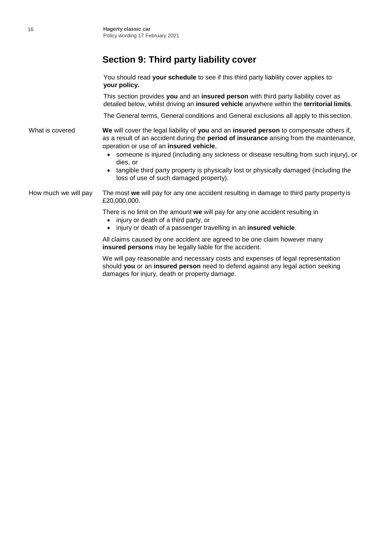# **Section 9: Third party liability cover**

You should read **your schedule** to see if this third party liability cover applies to **your policy.** This section provides **you** and an **insured person** with third party liability cover as detailed below, whilst driving an **insured vehicle** anywhere within the **territorial limits**. The General terms, General conditions and General exclusions all apply to this section. What is covered **We** will cover the legal liability of **you** and an **insured person** to compensate others if, as a result of an accident during the **period of insurance** arising from the maintenance, operation or use of an **insured vehicle**,

- someone is injured (including any sickness or disease resulting from such injury), or dies, or
- tangible third party property is physically lost or physically damaged (including the loss of use of such damaged property).

How much we will pay The most **we** will pay for any one accident resulting in damage to third party property is £20,000,000.

There is no limit on the amount **we** will pay for any one accident resulting in

- injury or death of a third party, or
- injury or death of a passenger travelling in an **insured vehicle**.

All claims caused by one accident are agreed to be one claim however many **insured persons** may be legally liable for the accident.

We will pay reasonable and necessary costs and expenses of legal representation should **you** or an **insured person** need to defend against any legal action seeking damages for injury, death or property damage.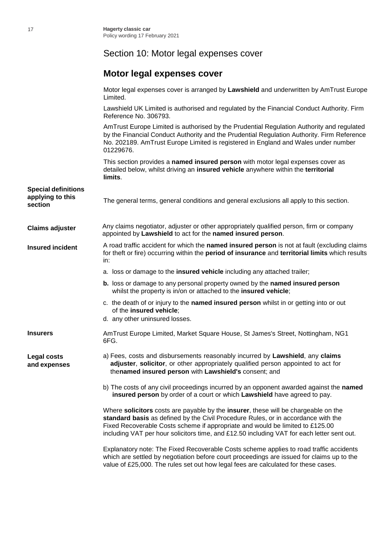# Section 10: Motor legal expenses cover

# **Motor legal expenses cover**

|                                                           | Motor legal expenses cover is arranged by Lawshield and underwritten by AmTrust Europe<br>Limited.                                                                                                                                                                                                                                                     |
|-----------------------------------------------------------|--------------------------------------------------------------------------------------------------------------------------------------------------------------------------------------------------------------------------------------------------------------------------------------------------------------------------------------------------------|
|                                                           | Lawshield UK Limited is authorised and regulated by the Financial Conduct Authority. Firm<br>Reference No. 306793.                                                                                                                                                                                                                                     |
|                                                           | AmTrust Europe Limited is authorised by the Prudential Regulation Authority and regulated<br>by the Financial Conduct Authority and the Prudential Regulation Authority. Firm Reference<br>No. 202189. AmTrust Europe Limited is registered in England and Wales under number<br>01229676.                                                             |
|                                                           | This section provides a named insured person with motor legal expenses cover as<br>detailed below, whilst driving an insured vehicle anywhere within the territorial<br>limits.                                                                                                                                                                        |
| <b>Special definitions</b><br>applying to this<br>section | The general terms, general conditions and general exclusions all apply to this section.                                                                                                                                                                                                                                                                |
| <b>Claims adjuster</b>                                    | Any claims negotiator, adjuster or other appropriately qualified person, firm or company<br>appointed by Lawshield to act for the named insured person.                                                                                                                                                                                                |
| <b>Insured incident</b>                                   | A road traffic accident for which the named insured person is not at fault (excluding claims<br>for theft or fire) occurring within the period of insurance and territorial limits which results<br>in:                                                                                                                                                |
|                                                           | a. loss or damage to the insured vehicle including any attached trailer;                                                                                                                                                                                                                                                                               |
|                                                           | b. loss or damage to any personal property owned by the named insured person<br>whilst the property is in/on or attached to the insured vehicle;                                                                                                                                                                                                       |
|                                                           | c. the death of or injury to the named insured person whilst in or getting into or out<br>of the insured vehicle;<br>d. any other uninsured losses.                                                                                                                                                                                                    |
| Insurers                                                  | AmTrust Europe Limited, Market Square House, St James's Street, Nottingham, NG1<br>6FG.                                                                                                                                                                                                                                                                |
| Legal costs<br>and expenses                               | a) Fees, costs and disbursements reasonably incurred by Lawshield, any claims<br>adjuster, solicitor, or other appropriately qualified person appointed to act for<br>thenamed insured person with Lawshield's consent; and                                                                                                                            |
|                                                           | b) The costs of any civil proceedings incurred by an opponent awarded against the named<br>insured person by order of a court or which Lawshield have agreed to pay.                                                                                                                                                                                   |
|                                                           | Where solicitors costs are payable by the insurer, these will be chargeable on the<br>standard basis as defined by the Civil Procedure Rules, or in accordance with the<br>Fixed Recoverable Costs scheme if appropriate and would be limited to £125.00<br>including VAT per hour solicitors time, and £12.50 including VAT for each letter sent out. |
|                                                           | Explanatory note: The Fixed Recoverable Costs scheme applies to road traffic accidents<br>which are settled by negotiation before court proceedings are issued for claims up to the<br>value of £25,000. The rules set out how legal fees are calculated for these cases.                                                                              |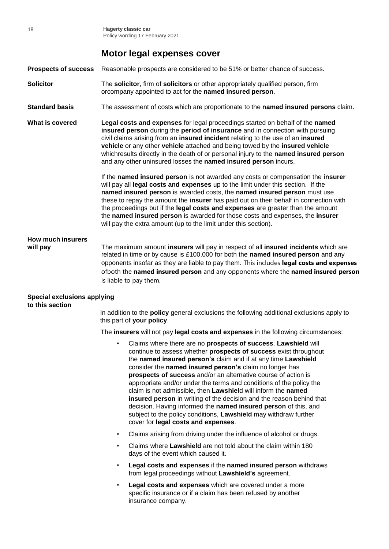#### **Motor legal expenses cover**

**Prospects of success** Reasonable prospects are considered to be 51% or better chance of success.

- **Solicitor** The **solicitor**, firm of **solicitors** or other appropriately qualified person, firm orcompany appointed to act for the **named insured person**.
- **Standard basis** The assessment of costs which are proportionate to the **named insured persons** claim.

**What is covered Legal costs and expenses** for legal proceedings started on behalf of the **named insured person** during the **period of insurance** and in connection with pursuing civil claims arising from an **insured incident** relating to the use of an **insured vehicle** or any other **vehicle** attached and being towed by the **insured vehicle** whichresults directly in the death of or personal injury to the **named insured person**  and any other uninsured losses the **named insured person** incurs.

> If the **named insured person** is not awarded any costs or compensation the **insurer** will pay all **legal costs and expenses** up to the limit under this section. If the **named insured person** is awarded costs, the **named insured person** must use these to repay the amount the **insurer** has paid out on their behalf in connection with the proceedings but if the **legal costs and expenses** are greater than the amount the **named insured person** is awarded for those costs and expenses, the **insurer** will pay the extra amount (up to the limit under this section).

# **How much insurers**

**will pay** The maximum amount **insurers** will pay in respect of all **insured incidents** which are related in time or by cause is £100,000 for both the **named insured person** and any opponents insofar as they are liable to pay them. This includes **legal costs and expenses**  ofboth the **named insured person** and any opponents where the **named insured person**  is liable to pay them.

#### **Special exclusions applying to this section**

In addition to the **policy** general exclusions the following additional exclusions apply to this part of **your policy**.

The **insurers** will not pay **legal costs and expenses** in the following circumstances:

- Claims where there are no **prospects of success**. **Lawshield** will continue to assess whether **prospects of success** exist throughout the **named insured person's** claim and if at any time **Lawshield** consider the **named insured person's** claim no longer has **prospects of success** and/or an alternative course of action is appropriate and/or under the terms and conditions of the policy the claim is not admissible, then **Lawshiel**d will inform the **named insured person** in writing of the decision and the reason behind that decision. Having informed the **named insured person** of this, and subject to the policy conditions, **Lawshield** may withdraw further cover for **legal costs and expenses**.
- Claims arising from driving under the influence of alcohol or drugs.
- Claims where **Lawshield** are not told about the claim within 180 days of the event which caused it.
- **Legal costs and expenses** if the **named insured person** withdraws from legal proceedings without **Lawshield's** agreement.
- Legal costs and expenses which are covered under a more specific insurance or if a claim has been refused by another insurance company.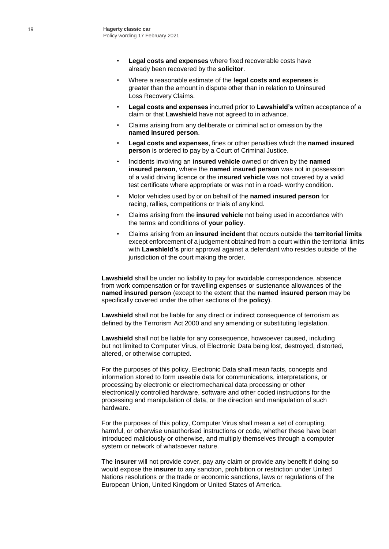- **Legal costs and expenses** where fixed recoverable costs have already been recovered by the **solicitor**.
- Where a reasonable estimate of the **legal costs and expenses** is greater than the amount in dispute other than in relation to Uninsured Loss Recovery Claims.
- **Legal costs and expenses** incurred prior to **Lawshield's** written acceptance of a claim or that **Lawshield** have not agreed to in advance.
- Claims arising from any deliberate or criminal act or omission by the **named insured person**.
- **Legal costs and expenses**, fines or other penalties which the **named insured person** is ordered to pay by a Court of Criminal Justice.
- Incidents involving an **insured vehicle** owned or driven by the **named insured person**, where the **named insured person** was not in possession of a valid driving licence or the **insured vehicle** was not covered by a valid test certificate where appropriate or was not in a road- worthy condition.
- Motor vehicles used by or on behalf of the **named insured person** for racing, rallies, competitions or trials of any kind.
- Claims arising from the **insured vehicle** not being used in accordance with the terms and conditions of **your policy**.
- Claims arising from an **insured incident** that occurs outside the **territorial limits** except enforcement of a judgement obtained from a court within the territorial limits with **Lawshield's** prior approval against a defendant who resides outside of the jurisdiction of the court making the order.

**Lawshield** shall be under no liability to pay for avoidable correspondence, absence from work compensation or for travelling expenses or sustenance allowances of the **named insured person** (except to the extent that the **named insured person** may be specifically covered under the other sections of the **policy**).

**Lawshield** shall not be liable for any direct or indirect consequence of terrorism as defined by the Terrorism Act 2000 and any amending or substituting legislation.

**Lawshield** shall not be liable for any consequence, howsoever caused, including but not limited to Computer Virus, of Electronic Data being lost, destroyed, distorted, altered, or otherwise corrupted.

For the purposes of this policy, Electronic Data shall mean facts, concepts and information stored to form useable data for communications, interpretations, or processing by electronic or electromechanical data processing or other electronically controlled hardware, software and other coded instructions for the processing and manipulation of data, or the direction and manipulation of such hardware.

For the purposes of this policy, Computer Virus shall mean a set of corrupting, harmful, or otherwise unauthorised instructions or code, whether these have been introduced maliciously or otherwise, and multiply themselves through a computer system or network of whatsoever nature.

The **insurer** will not provide cover, pay any claim or provide any benefit if doing so would expose the **insurer** to any sanction, prohibition or restriction under United Nations resolutions or the trade or economic sanctions, laws or regulations of the European Union, United Kingdom or United States of America.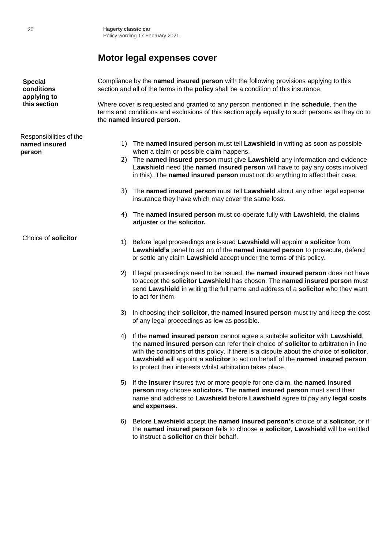# **Motor legal expenses cover**

| <b>Special</b><br>conditions<br>applying to        | Compliance by the named insured person with the following provisions applying to this<br>section and all of the terms in the policy shall be a condition of this insurance.                                                    |                                                                                                                                                                                                                                                                                                                                                                                                                   |  |
|----------------------------------------------------|--------------------------------------------------------------------------------------------------------------------------------------------------------------------------------------------------------------------------------|-------------------------------------------------------------------------------------------------------------------------------------------------------------------------------------------------------------------------------------------------------------------------------------------------------------------------------------------------------------------------------------------------------------------|--|
| this section                                       | Where cover is requested and granted to any person mentioned in the <b>schedule</b> , then the<br>terms and conditions and exclusions of this section apply equally to such persons as they do to<br>the named insured person. |                                                                                                                                                                                                                                                                                                                                                                                                                   |  |
| Responsibilities of the<br>named insured<br>person | 2)                                                                                                                                                                                                                             | 1) The named insured person must tell Lawshield in writing as soon as possible<br>when a claim or possible claim happens.<br>The named insured person must give Lawshield any information and evidence<br>Lawshield need (the named insured person will have to pay any costs involved<br>in this). The named insured person must not do anything to affect their case.                                           |  |
|                                                    | 3)                                                                                                                                                                                                                             | The named insured person must tell Lawshield about any other legal expense<br>insurance they have which may cover the same loss.                                                                                                                                                                                                                                                                                  |  |
|                                                    | 4)                                                                                                                                                                                                                             | The named insured person must co-operate fully with Lawshield, the claims<br>adjuster or the solicitor.                                                                                                                                                                                                                                                                                                           |  |
| Choice of solicitor                                | 1)                                                                                                                                                                                                                             | Before legal proceedings are issued Lawshield will appoint a solicitor from<br>Lawshield's panel to act on of the named insured person to prosecute, defend<br>or settle any claim Lawshield accept under the terms of this policy.                                                                                                                                                                               |  |
|                                                    | 2)                                                                                                                                                                                                                             | If legal proceedings need to be issued, the named insured person does not have<br>to accept the solicitor Lawshield has chosen. The named insured person must<br>send Lawshield in writing the full name and address of a solicitor who they want<br>to act for them.                                                                                                                                             |  |
|                                                    | 3)                                                                                                                                                                                                                             | In choosing their solicitor, the named insured person must try and keep the cost<br>of any legal proceedings as low as possible.                                                                                                                                                                                                                                                                                  |  |
|                                                    | 4)                                                                                                                                                                                                                             | If the named insured person cannot agree a suitable solicitor with Lawshield,<br>the named insured person can refer their choice of solicitor to arbitration in line<br>with the conditions of this policy. If there is a dispute about the choice of solicitor,<br>Lawshield will appoint a solicitor to act on behalf of the named insured person<br>to protect their interests whilst arbitration takes place. |  |
|                                                    | 5)                                                                                                                                                                                                                             | If the Insurer insures two or more people for one claim, the named insured<br>person may choose solicitors. The named insured person must send their<br>name and address to Lawshield before Lawshield agree to pay any legal costs<br>and expenses.                                                                                                                                                              |  |
|                                                    | 6)                                                                                                                                                                                                                             | Before Lawshield accept the named insured person's choice of a solicitor, or if<br>the named insured person fails to choose a solicitor, Lawshield will be entitled                                                                                                                                                                                                                                               |  |

to instruct a **solicitor** on their behalf.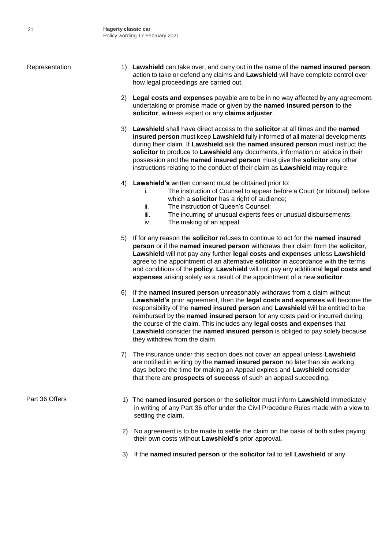- Representation 1) **Lawshield** can take over, and carry out in the name of the **named insured person**, action to take or defend any claims and **Lawshield** will have complete control over how legal proceedings are carried out.
	- 2) **Legal costs and expenses** payable are to be in no way affected by any agreement, undertaking or promise made or given by the **named insured person** to the **solicitor**, witness expert or any **claims adjuster**.
	- 3) **Lawshield** shall have direct access to the **solicitor** at all times and the **named insured person** must keep **Lawshield** fully informed of all material developments during their claim. If **Lawshield** ask the **named insured person** must instruct the **solicitor** to produce to **Lawshield** any documents, information or advice in their possession and the **named insured person** must give the **solicitor** any other instructions relating to the conduct of their claim as **Lawshield** may require.
	- 4) **Lawshield's** written consent must be obtained prior to:
		- i. The instruction of Counsel to appear before a Court (or tribunal) before which a **solicitor** has a right of audience;
		- ii. The instruction of Queen's Counsel;
		- iii. The incurring of unusual experts fees or unusual disbursements;
		- iv. The making of an appeal.
	- 5) If for any reason the **solicitor** refuses to continue to act for the **named insured person** or if the **named insured person** withdraws their claim from the **solicitor**, **Lawshield** will not pay any further **legal costs and expenses** unless **Lawshield** agree to the appointment of an alternative **solicitor** in accordance with the terms and conditions of the **policy**. **Lawshield** will not pay any additional **legal costs and expenses** arising solely as a result of the appointment of a new **solicitor**.
	- 6) If the **named insured person** unreasonably withdraws from a claim without **Lawshield's** prior agreement, then the **legal costs and expenses** will become the responsibility of the **named insured person** and **Lawshield** will be entitled to be reimbursed by the **named insured person** for any costs paid or incurred during the course of the claim. This includes any **legal costs and expenses** that **Lawshield** consider the **named insured person** is obliged to pay solely because they withdrew from the claim.
	- 7) The insurance under this section does not cover an appeal unless **Lawshield**  are notified in writing by the **named insured person** no laterthan six working days before the time for making an Appeal expires and **Lawshield** consider that there are **prospects of success** of such an appeal succeeding.
- Part 36 Offers 1) The **named insured person** or the **solicitor** must inform **Lawshield** immediately in writing of any Part 36 offer under the Civil Procedure Rules made with a view to settling the claim.
	- 2) No agreement is to be made to settle the claim on the basis of both sides paying their own costs without **Lawshield's** prior approval**.**
	- 3) If the **named insured person** or the **solicitor** fail to tell **Lawshield** of any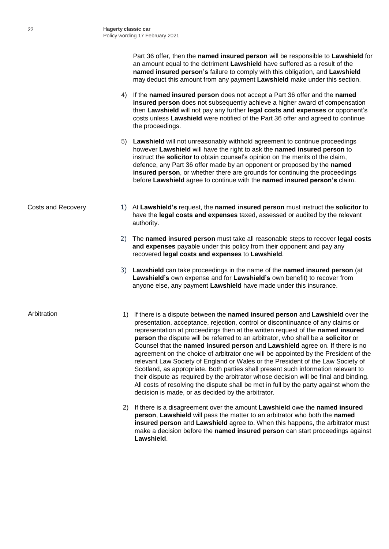Part 36 offer, then the **named insured person** will be responsible to **Lawshield** for an amount equal to the detriment **Lawshield** have suffered as a result of the **named insured person's** failure to comply with this obligation, and **Lawshield** may deduct this amount from any payment **Lawshield** make under this section.

- 4) If the **named insured person** does not accept a Part 36 offer and the **named insured person** does not subsequently achieve a higher award of compensation then **Lawshield** will not pay any further **legal costs and expenses** or opponent's costs unless **Lawshield** were notified of the Part 36 offer and agreed to continue the proceedings.
- 5) **Lawshield** will not unreasonably withhold agreement to continue proceedings however **Lawshield** will have the right to ask the **named insured person** to instruct the **solicitor** to obtain counsel's opinion on the merits of the claim, defence, any Part 36 offer made by an opponent or proposed by the **named insured person**, or whether there are grounds for continuing the proceedings before **Lawshield** agree to continue with the **named insured person's** claim.
- Costs and Recovery 1) At **Lawshield's** request, the **named insured person** must instruct the **solicitor** to have the **legal costs and expenses** taxed, assessed or audited by the relevant authority.
	- 2) The **named insured person** must take all reasonable steps to recover **legal costs and expenses** payable under this policy from their opponent and pay any recovered **legal costs and expenses** to **Lawshield**.
	- 3) **Lawshield** can take proceedings in the name of the **named insured person** (at **Lawshield's** own expense and for **Lawshield's** own benefit) to recover from anyone else, any payment **Lawshield** have made under this insurance.

- Arbitration 1) If there is a dispute between the **named insured person** and **Lawshield** over the presentation, acceptance, rejection, control or discontinuance of any claims or representation at proceedings then at the written request of the **named insured person** the dispute will be referred to an arbitrator, who shall be a **solicitor** or Counsel that the **named insured person** and **Lawshield** agree on. If there is no agreement on the choice of arbitrator one will be appointed by the President of the relevant Law Society of England or Wales or the President of the Law Society of Scotland, as appropriate. Both parties shall present such information relevant to their dispute as required by the arbitrator whose decision will be final and binding. All costs of resolving the dispute shall be met in full by the party against whom the decision is made, or as decided by the arbitrator.
	- 2) If there is a disagreement over the amount **Lawshield** owe the **named insured person**, **Lawshield** will pass the matter to an arbitrator who both the **named insured person** and **Lawshield** agree to. When this happens, the arbitrator must make a decision before the **named insured person** can start proceedings against **Lawshield**.